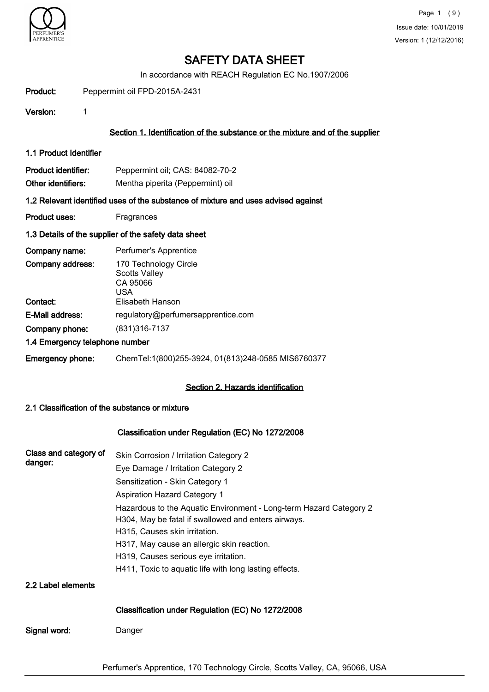

In accordance with REACH Regulation EC No.1907/2006

| Product: | Peppermint oil FPD-2015A-2431 |
|----------|-------------------------------|
|          |                               |

Version: 1

#### Section 1. Identification of the substance or the mixture and of the supplier

1.1 Product Identifier

| <b>Product identifier:</b> | Peppermint oil; CAS: 84082-70-2  |
|----------------------------|----------------------------------|
| Other identifiers:         | Mentha piperita (Peppermint) oil |

#### 1.2 Relevant identified uses of the substance of mixture and uses advised against

Product uses: Fragrances

#### 1.3 Details of the supplier of the safety data sheet

| Company name:                  | Perfumer's Apprentice                                            |
|--------------------------------|------------------------------------------------------------------|
| Company address:               | 170 Technology Circle<br><b>Scotts Valley</b><br>CA 95066<br>USA |
| Contact:                       | Elisabeth Hanson                                                 |
| <b>E-Mail address:</b>         | regulatory@perfumersapprentice.com                               |
| Company phone:                 | (831) 316-7137                                                   |
| 1.4 Emergency telephone number |                                                                  |
| Emergency phone:               | ChemTel:1(800)255-3924, 01(813)248-0585 MIS6760377               |

#### Section 2. Hazards identification

### 2.1 Classification of the substance or mixture

### Classification under Regulation (EC) No 1272/2008

| Class and category of | Skin Corrosion / Irritation Category 2                             |  |  |  |
|-----------------------|--------------------------------------------------------------------|--|--|--|
| danger:               | Eye Damage / Irritation Category 2                                 |  |  |  |
|                       | Sensitization - Skin Category 1                                    |  |  |  |
|                       | <b>Aspiration Hazard Category 1</b>                                |  |  |  |
|                       | Hazardous to the Aquatic Environment - Long-term Hazard Category 2 |  |  |  |
|                       | H304, May be fatal if swallowed and enters airways.                |  |  |  |
|                       | H315, Causes skin irritation.                                      |  |  |  |
|                       | H317, May cause an allergic skin reaction.                         |  |  |  |
|                       | H319, Causes serious eye irritation.                               |  |  |  |
|                       | H411, Toxic to aquatic life with long lasting effects.             |  |  |  |
| 2.2 Label elements    |                                                                    |  |  |  |
|                       | Classification under Regulation (EC) No 1272/2008                  |  |  |  |
| Signal word:          | Danger                                                             |  |  |  |
|                       |                                                                    |  |  |  |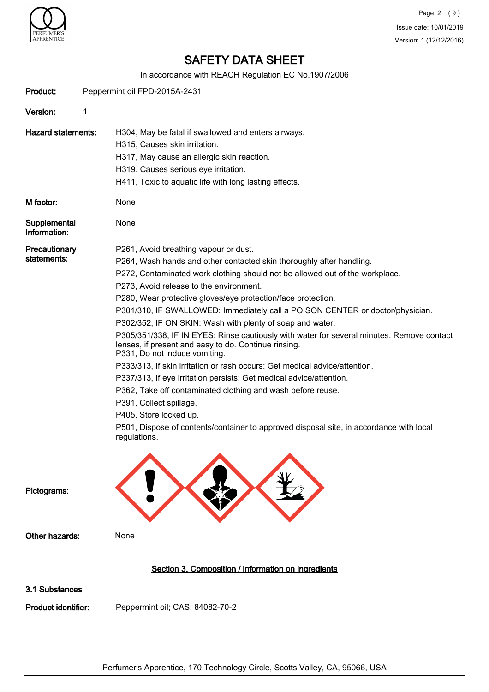

In accordance with REACH Regulation EC No.1907/2006

|                              |      | In accordance with REACH Regulation EC No.1907/2006                                                                                                                                                                                                                                                                                                                                                                                                                                                                                                                                                                                                                                                                                                                                                                                                                                                                                                                                                                              |
|------------------------------|------|----------------------------------------------------------------------------------------------------------------------------------------------------------------------------------------------------------------------------------------------------------------------------------------------------------------------------------------------------------------------------------------------------------------------------------------------------------------------------------------------------------------------------------------------------------------------------------------------------------------------------------------------------------------------------------------------------------------------------------------------------------------------------------------------------------------------------------------------------------------------------------------------------------------------------------------------------------------------------------------------------------------------------------|
| Product:                     |      | Peppermint oil FPD-2015A-2431                                                                                                                                                                                                                                                                                                                                                                                                                                                                                                                                                                                                                                                                                                                                                                                                                                                                                                                                                                                                    |
| Version:                     | 1    |                                                                                                                                                                                                                                                                                                                                                                                                                                                                                                                                                                                                                                                                                                                                                                                                                                                                                                                                                                                                                                  |
| <b>Hazard statements:</b>    |      | H304, May be fatal if swallowed and enters airways.<br>H315, Causes skin irritation.<br>H317, May cause an allergic skin reaction.<br>H319, Causes serious eye irritation.<br>H411, Toxic to aquatic life with long lasting effects.                                                                                                                                                                                                                                                                                                                                                                                                                                                                                                                                                                                                                                                                                                                                                                                             |
| M factor:                    | None |                                                                                                                                                                                                                                                                                                                                                                                                                                                                                                                                                                                                                                                                                                                                                                                                                                                                                                                                                                                                                                  |
| Supplemental<br>Information: | None |                                                                                                                                                                                                                                                                                                                                                                                                                                                                                                                                                                                                                                                                                                                                                                                                                                                                                                                                                                                                                                  |
| Precautionary<br>statements: |      | P261, Avoid breathing vapour or dust.<br>P264, Wash hands and other contacted skin thoroughly after handling.<br>P272, Contaminated work clothing should not be allowed out of the workplace.<br>P273, Avoid release to the environment.<br>P280, Wear protective gloves/eye protection/face protection.<br>P301/310, IF SWALLOWED: Immediately call a POISON CENTER or doctor/physician.<br>P302/352, IF ON SKIN: Wash with plenty of soap and water.<br>P305/351/338, IF IN EYES: Rinse cautiously with water for several minutes. Remove contact<br>lenses, if present and easy to do. Continue rinsing.<br>P331, Do not induce vomiting.<br>P333/313, If skin irritation or rash occurs: Get medical advice/attention.<br>P337/313, If eye irritation persists: Get medical advice/attention.<br>P362, Take off contaminated clothing and wash before reuse.<br>P391, Collect spillage.<br>P405, Store locked up.<br>P501, Dispose of contents/container to approved disposal site, in accordance with local<br>regulations. |
| Pictograms:                  |      |                                                                                                                                                                                                                                                                                                                                                                                                                                                                                                                                                                                                                                                                                                                                                                                                                                                                                                                                                                                                                                  |
| Other hazards:               | None |                                                                                                                                                                                                                                                                                                                                                                                                                                                                                                                                                                                                                                                                                                                                                                                                                                                                                                                                                                                                                                  |
|                              |      | Section 3. Composition / information on ingredients                                                                                                                                                                                                                                                                                                                                                                                                                                                                                                                                                                                                                                                                                                                                                                                                                                                                                                                                                                              |
| 3.1 Substances               |      |                                                                                                                                                                                                                                                                                                                                                                                                                                                                                                                                                                                                                                                                                                                                                                                                                                                                                                                                                                                                                                  |
| Product identifier:          |      | Peppermint oil; CAS: 84082-70-2                                                                                                                                                                                                                                                                                                                                                                                                                                                                                                                                                                                                                                                                                                                                                                                                                                                                                                                                                                                                  |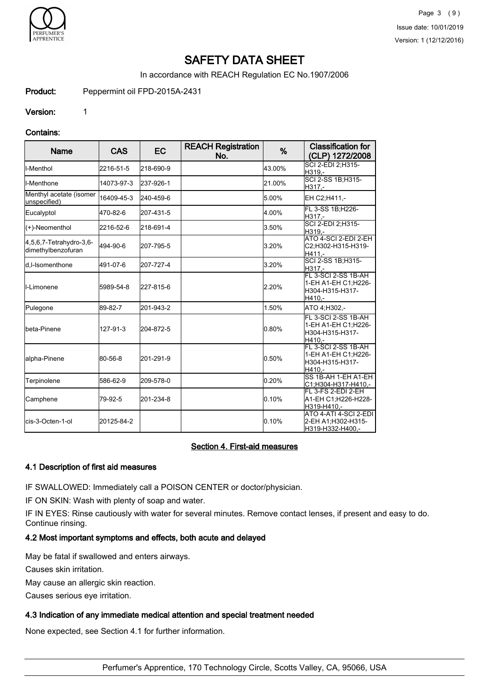

In accordance with REACH Regulation EC No.1907/2006

Product: Peppermint oil FPD-2015A-2431

Version: 1

#### Contains:

| <b>Name</b>                                   | <b>CAS</b> | <b>EC</b> | <b>REACH Registration</b><br>No. | %      | <b>Classification for</b><br>(CLP) 1272/2008                            |
|-----------------------------------------------|------------|-----------|----------------------------------|--------|-------------------------------------------------------------------------|
| ll-Menthol                                    | 2216-51-5  | 218-690-9 |                                  | 43.00% | SCI 2-EDI 2:H315-<br>H319,-                                             |
| ll-Menthone                                   | 14073-97-3 | 237-926-1 |                                  | 21.00% | SCI 2-SS 1B;H315-<br>H317,-                                             |
| Menthyl acetate (isomer<br>unspecified)       | 16409-45-3 | 240-459-6 |                                  | 5.00%  | EH C2;H411,-                                                            |
| Eucalyptol                                    | 470-82-6   | 207-431-5 |                                  | 4.00%  | FL 3-SS 1B;H226-<br>H317.-                                              |
| (+)-Neomenthol                                | 2216-52-6  | 218-691-4 |                                  | 3.50%  | SCI 2-EDI 2;H315-<br>H319.-                                             |
| 4,5,6,7-Tetrahydro-3,6-<br>dimethylbenzofuran | 494-90-6   | 207-795-5 |                                  | 3.20%  | ATO 4-SCI 2-EDI 2-EH<br>C2;H302-H315-H319-<br>H411.-                    |
| d.I-Isomenthone                               | 491-07-6   | 207-727-4 |                                  | 3.20%  | SCI 2-SS 1B; H315-<br>H317.-                                            |
| II-Limonene                                   | 5989-54-8  | 227-815-6 |                                  | 2.20%  | FL 3-SCI 2-SS 1B-AH<br>1-EH A1-EH C1;H226-<br>H304-H315-H317-<br>H410,- |
| Pulegone                                      | 89-82-7    | 201-943-2 |                                  | 1.50%  | ATO 4:H302.-                                                            |
| Ibeta-Pinene                                  | 127-91-3   | 204-872-5 |                                  | 0.80%  | FL 3-SCI 2-SS 1B-AH<br>1-EH A1-EH C1:H226-<br>H304-H315-H317-<br>H410.- |
| alpha-Pinene                                  | 80-56-8    | 201-291-9 |                                  | 0.50%  | FL 3-SCI 2-SS 1B-AH<br>1-EH A1-EH C1;H226-<br>H304-H315-H317-<br>H410.- |
| Terpinolene                                   | 586-62-9   | 209-578-0 |                                  | 0.20%  | SS 1B-AH 1-EH A1-EH<br>C1:H304-H317-H410,-                              |
| Camphene                                      | 79-92-5    | 201-234-8 |                                  | 0.10%  | FL 3-FS 2-EDI 2-EH<br>A1-EH C1:H226-H228-<br>H319-H410.-                |
| lcis-3-Octen-1-ol                             | 20125-84-2 |           |                                  | 0.10%  | ATO 4-ATI 4-SCI 2-EDI<br>2-EH A1;H302-H315-<br>H319-H332-H400,-         |

### Section 4. First-aid measures

#### 4.1 Description of first aid measures

IF SWALLOWED: Immediately call a POISON CENTER or doctor/physician.

IF ON SKIN: Wash with plenty of soap and water.

IF IN EYES: Rinse cautiously with water for several minutes. Remove contact lenses, if present and easy to do. Continue rinsing.

### 4.2 Most important symptoms and effects, both acute and delayed

May be fatal if swallowed and enters airways.

Causes skin irritation.

May cause an allergic skin reaction.

Causes serious eye irritation.

#### 4.3 Indication of any immediate medical attention and special treatment needed

None expected, see Section 4.1 for further information.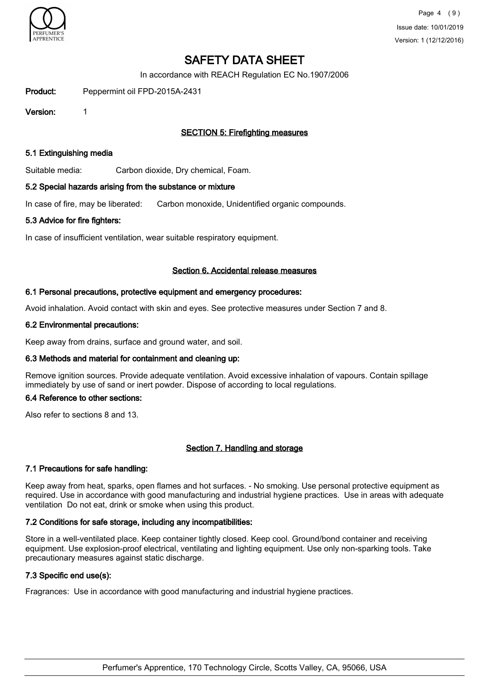

In accordance with REACH Regulation EC No.1907/2006

Product: Peppermint oil FPD-2015A-2431

Version: 1

### SECTION 5: Firefighting measures

#### 5.1 Extinguishing media

Suitable media: Carbon dioxide, Dry chemical, Foam.

#### 5.2 Special hazards arising from the substance or mixture

In case of fire, may be liberated: Carbon monoxide, Unidentified organic compounds.

#### 5.3 Advice for fire fighters:

In case of insufficient ventilation, wear suitable respiratory equipment.

#### Section 6. Accidental release measures

#### 6.1 Personal precautions, protective equipment and emergency procedures:

Avoid inhalation. Avoid contact with skin and eyes. See protective measures under Section 7 and 8.

#### 6.2 Environmental precautions:

Keep away from drains, surface and ground water, and soil.

#### 6.3 Methods and material for containment and cleaning up:

Remove ignition sources. Provide adequate ventilation. Avoid excessive inhalation of vapours. Contain spillage immediately by use of sand or inert powder. Dispose of according to local regulations.

#### 6.4 Reference to other sections:

Also refer to sections 8 and 13.

#### Section 7. Handling and storage

#### 7.1 Precautions for safe handling:

Keep away from heat, sparks, open flames and hot surfaces. - No smoking. Use personal protective equipment as required. Use in accordance with good manufacturing and industrial hygiene practices. Use in areas with adequate ventilation Do not eat, drink or smoke when using this product.

#### 7.2 Conditions for safe storage, including any incompatibilities:

Store in a well-ventilated place. Keep container tightly closed. Keep cool. Ground/bond container and receiving equipment. Use explosion-proof electrical, ventilating and lighting equipment. Use only non-sparking tools. Take precautionary measures against static discharge.

#### 7.3 Specific end use(s):

Fragrances: Use in accordance with good manufacturing and industrial hygiene practices.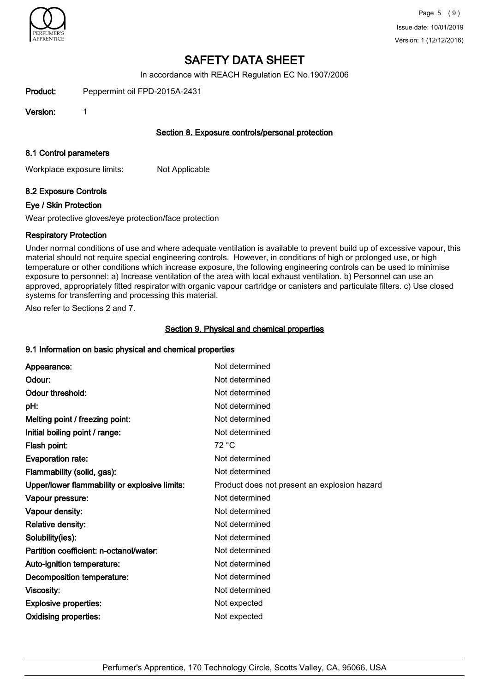

In accordance with REACH Regulation EC No.1907/2006

Product: Peppermint oil FPD-2015A-2431

Version: 1

#### Section 8. Exposure controls/personal protection

#### 8.1 Control parameters

Workplace exposure limits: Not Applicable

### 8.2 Exposure Controls

#### Eye / Skin Protection

Wear protective gloves/eye protection/face protection

### Respiratory Protection

Under normal conditions of use and where adequate ventilation is available to prevent build up of excessive vapour, this material should not require special engineering controls. However, in conditions of high or prolonged use, or high temperature or other conditions which increase exposure, the following engineering controls can be used to minimise exposure to personnel: a) Increase ventilation of the area with local exhaust ventilation. b) Personnel can use an approved, appropriately fitted respirator with organic vapour cartridge or canisters and particulate filters. c) Use closed systems for transferring and processing this material.

Also refer to Sections 2 and 7.

### Section 9. Physical and chemical properties

#### 9.1 Information on basic physical and chemical properties

| Appearance:                                   | Not determined                               |
|-----------------------------------------------|----------------------------------------------|
| Odour:                                        | Not determined                               |
| Odour threshold:                              | Not determined                               |
| pH:                                           | Not determined                               |
| Melting point / freezing point:               | Not determined                               |
| Initial boiling point / range:                | Not determined                               |
| Flash point:                                  | 72 °C                                        |
| <b>Evaporation rate:</b>                      | Not determined                               |
| Flammability (solid, gas):                    | Not determined                               |
| Upper/lower flammability or explosive limits: | Product does not present an explosion hazard |
| Vapour pressure:                              | Not determined                               |
| Vapour density:                               | Not determined                               |
| <b>Relative density:</b>                      | Not determined                               |
| Solubility(ies):                              | Not determined                               |
| Partition coefficient: n-octanol/water:       | Not determined                               |
| Auto-ignition temperature:                    | Not determined                               |
| Decomposition temperature:                    | Not determined                               |
| Viscosity:                                    | Not determined                               |
| <b>Explosive properties:</b>                  | Not expected                                 |
| <b>Oxidising properties:</b>                  | Not expected                                 |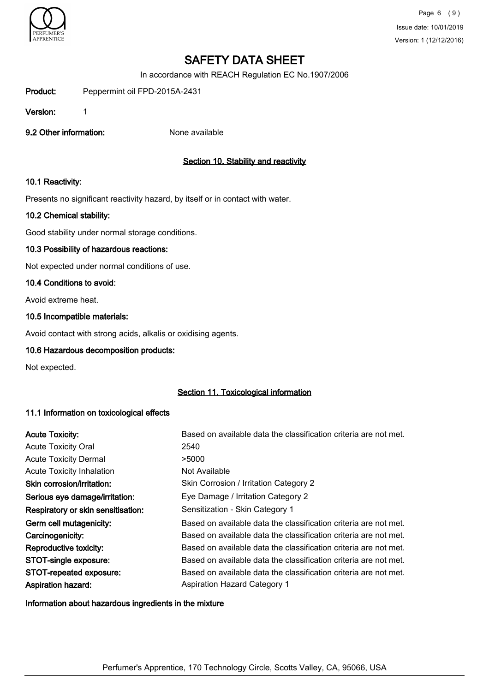

In accordance with REACH Regulation EC No.1907/2006

Product: Peppermint oil FPD-2015A-2431

Version: 1

9.2 Other information: None available

## Section 10. Stability and reactivity

### 10.1 Reactivity:

Presents no significant reactivity hazard, by itself or in contact with water.

### 10.2 Chemical stability:

Good stability under normal storage conditions.

### 10.3 Possibility of hazardous reactions:

Not expected under normal conditions of use.

#### 10.4 Conditions to avoid:

Avoid extreme heat.

#### 10.5 Incompatible materials:

Avoid contact with strong acids, alkalis or oxidising agents.

#### 10.6 Hazardous decomposition products:

Not expected.

### Section 11. Toxicological information

#### 11.1 Information on toxicological effects

| <b>Acute Toxicity:</b>             | Based on available data the classification criteria are not met. |
|------------------------------------|------------------------------------------------------------------|
| <b>Acute Toxicity Oral</b>         | 2540                                                             |
| <b>Acute Toxicity Dermal</b>       | >5000                                                            |
| <b>Acute Toxicity Inhalation</b>   | Not Available                                                    |
| Skin corrosion/irritation:         | Skin Corrosion / Irritation Category 2                           |
| Serious eye damage/irritation:     | Eye Damage / Irritation Category 2                               |
| Respiratory or skin sensitisation: | Sensitization - Skin Category 1                                  |
| Germ cell mutagenicity:            | Based on available data the classification criteria are not met. |
| Carcinogenicity:                   | Based on available data the classification criteria are not met. |
| Reproductive toxicity:             | Based on available data the classification criteria are not met. |
| STOT-single exposure:              | Based on available data the classification criteria are not met. |
| STOT-repeated exposure:            | Based on available data the classification criteria are not met. |
| <b>Aspiration hazard:</b>          | <b>Aspiration Hazard Category 1</b>                              |

Information about hazardous ingredients in the mixture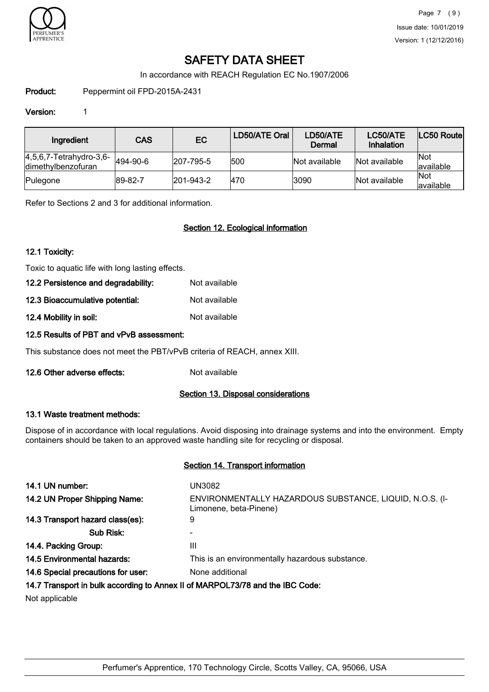

In accordance with REACH Regulation EC No.1907/2006

Product: Peppermint oil FPD-2015A-2431

### Version: 1

| Ingredient                                        | <b>CAS</b> | EC                | LD50/ATE Oral | LD50/ATE<br>Dermal | LC50/ATE<br>Inhalation | <b>LC50 Routel</b>       |
|---------------------------------------------------|------------|-------------------|---------------|--------------------|------------------------|--------------------------|
| $[4,5,6,7$ -Tetrahydro-3,6-<br>dimethylbenzofuran | 494-90-6   | $ 207 - 795 - 5 $ | 1500          | Not available      | Not available          | <b>Not</b><br>lavailable |
| Pulegone                                          | 89-82-7    | $ 201 - 943 - 2 $ | 470           | 3090               | Not available          | <b>Not</b><br>lavailable |

Refer to Sections 2 and 3 for additional information.

### Section 12. Ecological information

### 12.1 Toxicity:

Toxic to aquatic life with long lasting effects.

| 12.2 Persistence and degradability: | Not available |
|-------------------------------------|---------------|
| 12.3 Bioaccumulative potential:     | Not available |
|                                     |               |

12.4 Mobility in soil: Not available

### 12.5 Results of PBT and vPvB assessment:

This substance does not meet the PBT/vPvB criteria of REACH, annex XIII.

12.6 Other adverse effects: Not available

#### Section 13. Disposal considerations

#### 13.1 Waste treatment methods:

Dispose of in accordance with local regulations. Avoid disposing into drainage systems and into the environment. Empty containers should be taken to an approved waste handling site for recycling or disposal.

#### Section 14. Transport information

| 14.1 UN number:                    | UN3082                                                                            |
|------------------------------------|-----------------------------------------------------------------------------------|
| 14.2 UN Proper Shipping Name:      | ENVIRONMENTALLY HAZARDOUS SUBSTANCE, LIQUID, N.O.S. (I-<br>Limonene, beta-Pinene) |
| 14.3 Transport hazard class(es):   | 9                                                                                 |
| Sub Risk:                          |                                                                                   |
| 14.4. Packing Group:               | Ш                                                                                 |
| <b>14.5 Environmental hazards:</b> | This is an environmentally hazardous substance.                                   |
| 14.6 Special precautions for user: | None additional                                                                   |
|                                    | 14.7 Transport in bulk according to Annex II of MARPOL73/78 and the IBC Code:     |

Not applicable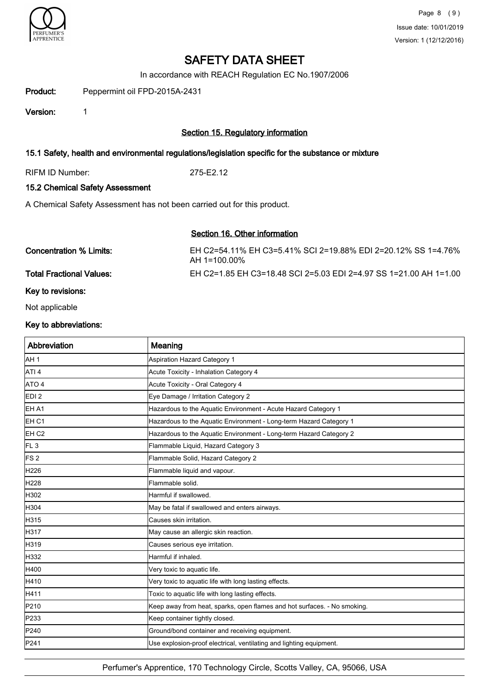

In accordance with REACH Regulation EC No.1907/2006

Product: Peppermint oil FPD-2015A-2431

Version: 1

### Section 15. Regulatory information

#### 15.1 Safety, health and environmental regulations/legislation specific for the substance or mixture

RIFM ID Number: 275-E2.12

### 15.2 Chemical Safety Assessment

A Chemical Safety Assessment has not been carried out for this product.

### Section 16. Other information

Concentration % Limits: EH C2=54.11% EH C3=5.41% SCI 2=19.88% EDI 2=20.12% SS 1=4.76% AH 1=100.00%

Total Fractional Values: EH C2=1.85 EH C3=18.48 SCI 2=5.03 EDI 2=4.97 SS 1=21.00 AH 1=1.00

#### Key to revisions:

Not applicable

#### Key to abbreviations:

| Abbreviation     | Meaning                                                                  |
|------------------|--------------------------------------------------------------------------|
| AH 1             | Aspiration Hazard Category 1                                             |
| ATI <sub>4</sub> | Acute Toxicity - Inhalation Category 4                                   |
| ATO 4            | Acute Toxicity - Oral Category 4                                         |
| EDI <sub>2</sub> | Eye Damage / Irritation Category 2                                       |
| EH A1            | Hazardous to the Aquatic Environment - Acute Hazard Category 1           |
| EH C1            | Hazardous to the Aquatic Environment - Long-term Hazard Category 1       |
| EH <sub>C2</sub> | Hazardous to the Aquatic Environment - Long-term Hazard Category 2       |
| FL <sub>3</sub>  | Flammable Liquid, Hazard Category 3                                      |
| FS <sub>2</sub>  | Flammable Solid, Hazard Category 2                                       |
| H226             | Flammable liquid and vapour.                                             |
| H <sub>228</sub> | Flammable solid.                                                         |
| H302             | Harmful if swallowed.                                                    |
| H304             | May be fatal if swallowed and enters airways.                            |
| H315             | Causes skin irritation.                                                  |
| H317             | May cause an allergic skin reaction.                                     |
| H319             | Causes serious eye irritation.                                           |
| H332             | Harmful if inhaled.                                                      |
| H400             | Very toxic to aquatic life.                                              |
| H410             | Very toxic to aquatic life with long lasting effects.                    |
| H411             | Toxic to aquatic life with long lasting effects.                         |
| P210             | Keep away from heat, sparks, open flames and hot surfaces. - No smoking. |
| P233             | Keep container tightly closed.                                           |
| P240             | Ground/bond container and receiving equipment.                           |
| <b>P241</b>      | Use explosion-proof electrical, ventilating and lighting equipment.      |